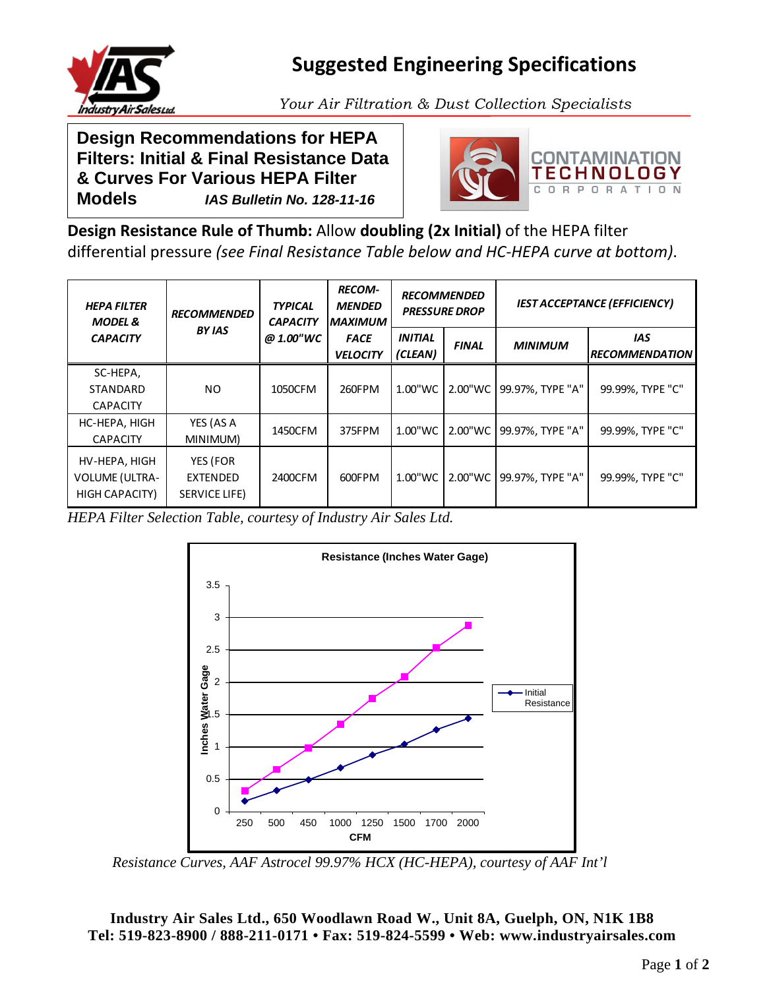

## **Suggested Engineering Specifications**

*Your Air Filtration & Dust Collection Specialists* 

**Design Recommendations for HEPA Filters: Initial & Final Resistance Data & Curves For Various HEPA Filter Models** *IAS Bulletin No. 128-11-16* 



**Design Resistance Rule of Thumb:** Allow **doubling (2x Initial)** of the HEPA filter differential pressure *(see Final Resistance Table below and HC-HEPA curve at bottom)*.

| <b>HEPA FILTER</b><br><b>MODEL &amp;</b><br><b>CAPACITY</b> | <b>RECOMMENDED</b><br><b>BY IAS</b>   | <b>TYPICAL</b><br><b>CAPACITY</b><br>@ 1.00"WC | <b>RECOM-</b><br><b>MENDED</b><br><b>MAXIMUM</b><br><b>FACE</b><br><b>VELOCITY</b> | <b>RECOMMENDED</b><br><b>PRESSURE DROP</b> |              | <b>IEST ACCEPTANCE (EFFICIENCY)</b> |                                     |
|-------------------------------------------------------------|---------------------------------------|------------------------------------------------|------------------------------------------------------------------------------------|--------------------------------------------|--------------|-------------------------------------|-------------------------------------|
|                                                             |                                       |                                                |                                                                                    | <b>INITIAL</b><br>(CLEAN)                  | <b>FINAL</b> | <b>MINIMUM</b>                      | <b>IAS</b><br><b>RECOMMENDATION</b> |
| SC-HEPA,<br><b>STANDARD</b><br><b>CAPACITY</b>              | NO.                                   | 1050CFM                                        | 260FPM                                                                             | 1.00"WC                                    | 2.00"WC      | 99.97%, TYPE "A"                    | 99.99%, TYPE "C"                    |
| HC-HEPA, HIGH<br><b>CAPACITY</b>                            | YES (AS A<br>MINIMUM)                 | 1450CFM                                        | 375FPM                                                                             | 1.00"WC                                    | 2.00"WC      | 99.97%, TYPE "A"                    | 99.99%, TYPE "C"                    |
| HV-HEPA, HIGH<br><b>VOLUME (ULTRA-</b><br>HIGH CAPACITY)    | YES (FOR<br>EXTENDED<br>SERVICE LIFE) | 2400CFM                                        | 600FPM                                                                             | 1.00"WC                                    | 2.00"WC      | 99.97%. TYPE "A"                    | 99.99%, TYPE "C"                    |

*HEPA Filter Selection Table, courtesy of Industry Air Sales Ltd.* 



*Resistance Curves, AAF Astrocel 99.97% HCX (HC-HEPA), courtesy of AAF Int'l* 

**Industry Air Sales Ltd., 650 Woodlawn Road W., Unit 8A, Guelph, ON, N1K 1B8 Tel: 519-823-8900 / 888-211-0171 • Fax: 519-824-5599 • Web: www.industryairsales.com**